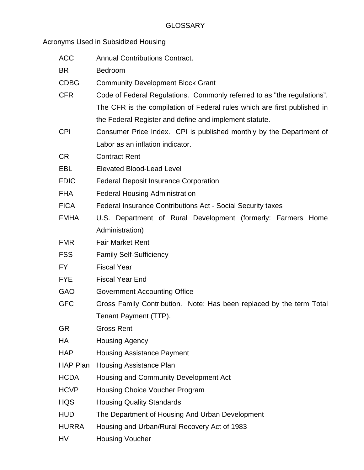Acronyms Used in Subsidized Housing

| <b>ACC</b>   | <b>Annual Contributions Contract.</b>                                    |
|--------------|--------------------------------------------------------------------------|
| <b>BR</b>    | Bedroom                                                                  |
| <b>CDBG</b>  | <b>Community Development Block Grant</b>                                 |
| <b>CFR</b>   | Code of Federal Regulations. Commonly referred to as "the regulations".  |
|              | The CFR is the compilation of Federal rules which are first published in |
|              | the Federal Register and define and implement statute.                   |
| <b>CPI</b>   | Consumer Price Index. CPI is published monthly by the Department of      |
|              | Labor as an inflation indicator.                                         |
| <b>CR</b>    | <b>Contract Rent</b>                                                     |
| EBL          | <b>Elevated Blood-Lead Level</b>                                         |
| <b>FDIC</b>  | <b>Federal Deposit Insurance Corporation</b>                             |
| <b>FHA</b>   | <b>Federal Housing Administration</b>                                    |
| <b>FICA</b>  | Federal Insurance Contributions Act - Social Security taxes              |
| <b>FMHA</b>  | U.S. Department of Rural Development (formerly: Farmers Home             |
|              | Administration)                                                          |
| <b>FMR</b>   | <b>Fair Market Rent</b>                                                  |
| <b>FSS</b>   | <b>Family Self-Sufficiency</b>                                           |
| FY.          | <b>Fiscal Year</b>                                                       |
| <b>FYE</b>   | <b>Fiscal Year End</b>                                                   |
| <b>GAO</b>   | <b>Government Accounting Office</b>                                      |
| <b>GFC</b>   | Gross Family Contribution. Note: Has been replaced by the term Total     |
|              | Tenant Payment (TTP).                                                    |
| <b>GR</b>    | <b>Gross Rent</b>                                                        |
| НA           | <b>Housing Agency</b>                                                    |
| <b>HAP</b>   | <b>Housing Assistance Payment</b>                                        |
| HAP Plan     | <b>Housing Assistance Plan</b>                                           |
| <b>HCDA</b>  | Housing and Community Development Act                                    |
| <b>HCVP</b>  | Housing Choice Voucher Program                                           |
| <b>HQS</b>   | <b>Housing Quality Standards</b>                                         |
| <b>HUD</b>   | The Department of Housing And Urban Development                          |
| <b>HURRA</b> | Housing and Urban/Rural Recovery Act of 1983                             |
| HV           | <b>Housing Voucher</b>                                                   |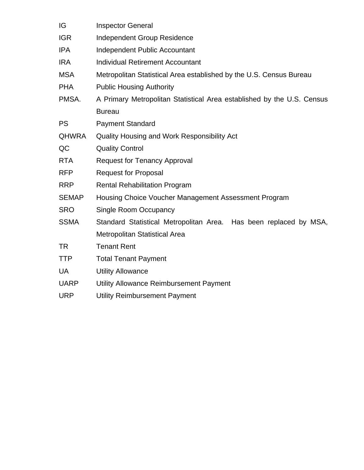| IG           | <b>Inspector General</b>                                               |
|--------------|------------------------------------------------------------------------|
| <b>IGR</b>   | Independent Group Residence                                            |
| <b>IPA</b>   | Independent Public Accountant                                          |
| <b>IRA</b>   | <b>Individual Retirement Accountant</b>                                |
| <b>MSA</b>   | Metropolitan Statistical Area established by the U.S. Census Bureau    |
| <b>PHA</b>   | <b>Public Housing Authority</b>                                        |
| PMSA.        | A Primary Metropolitan Statistical Area established by the U.S. Census |
|              | <b>Bureau</b>                                                          |
| <b>PS</b>    | <b>Payment Standard</b>                                                |
| <b>QHWRA</b> | Quality Housing and Work Responsibility Act                            |
| QC           | <b>Quality Control</b>                                                 |
| <b>RTA</b>   | <b>Request for Tenancy Approval</b>                                    |
| <b>RFP</b>   | <b>Request for Proposal</b>                                            |
| <b>RRP</b>   | <b>Rental Rehabilitation Program</b>                                   |
| <b>SEMAP</b> | Housing Choice Voucher Management Assessment Program                   |
| <b>SRO</b>   | <b>Single Room Occupancy</b>                                           |
| <b>SSMA</b>  | Standard Statistical Metropolitan Area. Has been replaced by MSA,      |
|              | Metropolitan Statistical Area                                          |
| <b>TR</b>    | <b>Tenant Rent</b>                                                     |
| <b>TTP</b>   | <b>Total Tenant Payment</b>                                            |
| <b>UA</b>    | <b>Utility Allowance</b>                                               |
| <b>UARP</b>  | Utility Allowance Reimbursement Payment                                |
| <b>URP</b>   | <b>Utility Reimbursement Payment</b>                                   |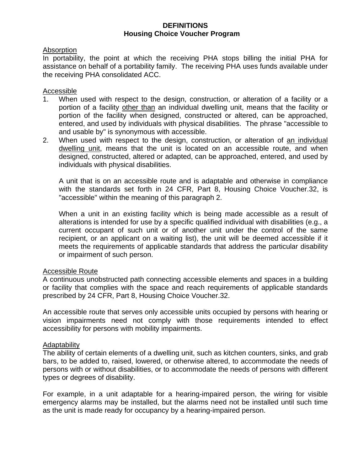### **DEFINITIONS Housing Choice Voucher Program**

### Absorption

In portability, the point at which the receiving PHA stops billing the initial PHA for assistance on behalf of a portability family. The receiving PHA uses funds available under the receiving PHA consolidated ACC.

### **Accessible**

- 1. When used with respect to the design, construction, or alteration of a facility or a portion of a facility other than an individual dwelling unit, means that the facility or portion of the facility when designed, constructed or altered, can be approached, entered, and used by individuals with physical disabilities. The phrase "accessible to and usable by" is synonymous with accessible.
- 2. When used with respect to the design, construction, or alteration of an individual dwelling unit, means that the unit is located on an accessible route, and when designed, constructed, altered or adapted, can be approached, entered, and used by individuals with physical disabilities.

A unit that is on an accessible route and is adaptable and otherwise in compliance with the standards set forth in 24 CFR, Part 8, Housing Choice Voucher.32, is "accessible" within the meaning of this paragraph 2.

When a unit in an existing facility which is being made accessible as a result of alterations is intended for use by a specific qualified individual with disabilities (e.g., a current occupant of such unit or of another unit under the control of the same recipient, or an applicant on a waiting list), the unit will be deemed accessible if it meets the requirements of applicable standards that address the particular disability or impairment of such person.

### Accessible Route

A continuous unobstructed path connecting accessible elements and spaces in a building or facility that complies with the space and reach requirements of applicable standards prescribed by 24 CFR, Part 8, Housing Choice Voucher.32.

An accessible route that serves only accessible units occupied by persons with hearing or vision impairments need not comply with those requirements intended to effect accessibility for persons with mobility impairments.

### Adaptability

The ability of certain elements of a dwelling unit, such as kitchen counters, sinks, and grab bars, to be added to, raised, lowered, or otherwise altered, to accommodate the needs of persons with or without disabilities, or to accommodate the needs of persons with different types or degrees of disability.

For example, in a unit adaptable for a hearing-impaired person, the wiring for visible emergency alarms may be installed, but the alarms need not be installed until such time as the unit is made ready for occupancy by a hearing-impaired person.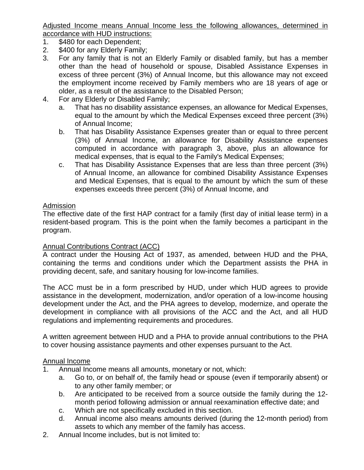Adjusted Income means Annual Income less the following allowances, determined in accordance with HUD instructions:

- 1. \$480 for each Dependent;
- 2. \$400 for any Elderly Family;
- 3. For any family that is not an Elderly Family or disabled family, but has a member other than the head of household or spouse, Disabled Assistance Expenses in excess of three percent (3%) of Annual Income, but this allowance may not exceed the employment income received by Family members who are 18 years of age or older, as a result of the assistance to the Disabled Person;
- 4. For any Elderly or Disabled Family;
	- a. That has no disability assistance expenses, an allowance for Medical Expenses, equal to the amount by which the Medical Expenses exceed three percent (3%) of Annual Income;
	- b. That has Disability Assistance Expenses greater than or equal to three percent (3%) of Annual Income, an allowance for Disability Assistance expenses computed in accordance with paragraph 3, above, plus an allowance for medical expenses, that is equal to the Family's Medical Expenses;
	- c. That has Disability Assistance Expenses that are less than three percent (3%) of Annual Income, an allowance for combined Disability Assistance Expenses and Medical Expenses, that is equal to the amount by which the sum of these expenses exceeds three percent (3%) of Annual Income, and

## Admission

The effective date of the first HAP contract for a family (first day of initial lease term) in a resident-based program. This is the point when the family becomes a participant in the program.

## Annual Contributions Contract (ACC)

A contract under the Housing Act of 1937, as amended, between HUD and the PHA, containing the terms and conditions under which the Department assists the PHA in providing decent, safe, and sanitary housing for low-income families.

The ACC must be in a form prescribed by HUD, under which HUD agrees to provide assistance in the development, modernization, and/or operation of a low-income housing development under the Act, and the PHA agrees to develop, modernize, and operate the development in compliance with all provisions of the ACC and the Act, and all HUD regulations and implementing requirements and procedures.

A written agreement between HUD and a PHA to provide annual contributions to the PHA to cover housing assistance payments and other expenses pursuant to the Act.

## Annual Income

- 1. Annual Income means all amounts, monetary or not, which:
	- a. Go to, or on behalf of, the family head or spouse (even if temporarily absent) or to any other family member; or
	- b. Are anticipated to be received from a source outside the family during the 12 month period following admission or annual reexamination effective date; and
	- c. Which are not specifically excluded in this section.
	- d. Annual income also means amounts derived (during the 12-month period) from assets to which any member of the family has access.
- 2. Annual Income includes, but is not limited to: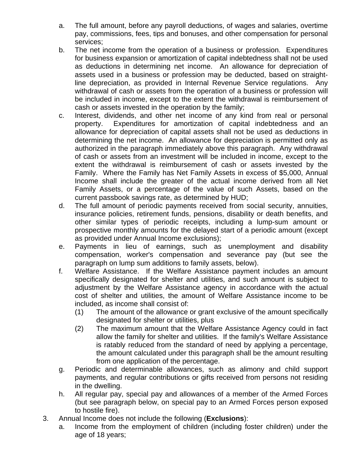- a. The full amount, before any payroll deductions, of wages and salaries, overtime pay, commissions, fees, tips and bonuses, and other compensation for personal services;
- b. The net income from the operation of a business or profession. Expenditures for business expansion or amortization of capital indebtedness shall not be used as deductions in determining net income. An allowance for depreciation of assets used in a business or profession may be deducted, based on straightline depreciation, as provided in Internal Revenue Service regulations. Any withdrawal of cash or assets from the operation of a business or profession will be included in income, except to the extent the withdrawal is reimbursement of cash or assets invested in the operation by the family;
- c. Interest, dividends, and other net income of any kind from real or personal property. Expenditures for amortization of capital indebtedness and an allowance for depreciation of capital assets shall not be used as deductions in determining the net income. An allowance for depreciation is permitted only as authorized in the paragraph immediately above this paragraph. Any withdrawal of cash or assets from an investment will be included in income, except to the extent the withdrawal is reimbursement of cash or assets invested by the Family. Where the Family has Net Family Assets in excess of \$5,000, Annual Income shall include the greater of the actual income derived from all Net Family Assets, or a percentage of the value of such Assets, based on the current passbook savings rate, as determined by HUD;
- d. The full amount of periodic payments received from social security, annuities, insurance policies, retirement funds, pensions, disability or death benefits, and other similar types of periodic receipts, including a lump-sum amount or prospective monthly amounts for the delayed start of a periodic amount (except as provided under Annual Income exclusions);
- e. Payments in lieu of earnings, such as unemployment and disability compensation, worker's compensation and severance pay (but see the paragraph on lump sum additions to family assets, below).
- f. Welfare Assistance. If the Welfare Assistance payment includes an amount specifically designated for shelter and utilities, and such amount is subject to adjustment by the Welfare Assistance agency in accordance with the actual cost of shelter and utilities, the amount of Welfare Assistance income to be included, as income shall consist of:
	- (1) The amount of the allowance or grant exclusive of the amount specifically designated for shelter or utilities, plus
	- (2) The maximum amount that the Welfare Assistance Agency could in fact allow the family for shelter and utilities. If the family's Welfare Assistance is ratably reduced from the standard of need by applying a percentage, the amount calculated under this paragraph shall be the amount resulting from one application of the percentage.
- g. Periodic and determinable allowances, such as alimony and child support payments, and regular contributions or gifts received from persons not residing in the dwelling.
- h. All regular pay, special pay and allowances of a member of the Armed Forces (but see paragraph below, on special pay to an Armed Forces person exposed to hostile fire).
- 3. Annual Income does not include the following (**Exclusions**):
	- a. Income from the employment of children (including foster children) under the age of 18 years;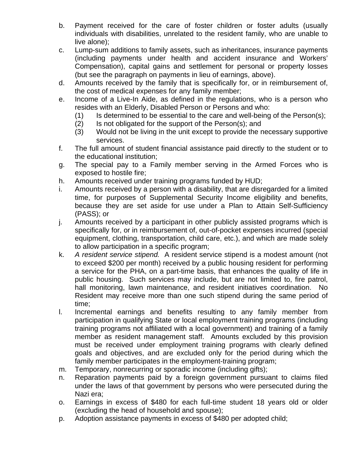- b. Payment received for the care of foster children or foster adults (usually individuals with disabilities, unrelated to the resident family, who are unable to live alone);
- c. Lump-sum additions to family assets, such as inheritances, insurance payments (including payments under health and accident insurance and Workers' Compensation), capital gains and settlement for personal or property losses (but see the paragraph on payments in lieu of earnings, above).
- d. Amounts received by the family that is specifically for, or in reimbursement of, the cost of medical expenses for any family member;
- e. Income of a Live-In Aide, as defined in the regulations, who is a person who resides with an Elderly, Disabled Person or Persons and who:
	- $(1)$  Is determined to be essential to the care and well-being of the Person(s);
	- (2) Is not obligated for the support of the Person(s); and
	- (3) Would not be living in the unit except to provide the necessary supportive services.
- f. The full amount of student financial assistance paid directly to the student or to the educational institution;
- g. The special pay to a Family member serving in the Armed Forces who is exposed to hostile fire;
- h. Amounts received under training programs funded by HUD;
- i. Amounts received by a person with a disability, that are disregarded for a limited time, for purposes of Supplemental Security Income eligibility and benefits, because they are set aside for use under a Plan to Attain Self-Sufficiency (PASS); or
- j. Amounts received by a participant in other publicly assisted programs which is specifically for, or in reimbursement of, out-of-pocket expenses incurred (special equipment, clothing, transportation, child care, etc.), and which are made solely to allow participation in a specific program;
- k. *A resident service stipend.* A resident service stipend is a modest amount (not to exceed \$200 per month) received by a public housing resident for performing a service for the PHA, on a part-time basis, that enhances the quality of life in public housing. Such services may include, but are not limited to, fire patrol, hall monitoring, lawn maintenance, and resident initiatives coordination. No Resident may receive more than one such stipend during the same period of time;
- l. Incremental earnings and benefits resulting to any family member from participation in qualifying State or local employment training programs (including training programs not affiliated with a local government) and training of a family member as resident management staff. Amounts excluded by this provision must be received under employment training programs with clearly defined goals and objectives, and are excluded only for the period during which the family member participates in the employment-training program;
- m. Temporary, nonrecurring or sporadic income (including gifts);
- n. Reparation payments paid by a foreign government pursuant to claims filed under the laws of that government by persons who were persecuted during the Nazi era;
- o. Earnings in excess of \$480 for each full-time student 18 years old or older (excluding the head of household and spouse);
- p. Adoption assistance payments in excess of \$480 per adopted child;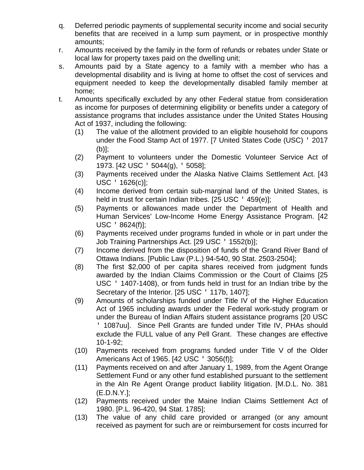- q. Deferred periodic payments of supplemental security income and social security benefits that are received in a lump sum payment, or in prospective monthly amounts;
- r. Amounts received by the family in the form of refunds or rebates under State or local law for property taxes paid on the dwelling unit;
- s. Amounts paid by a State agency to a family with a member who has a developmental disability and is living at home to offset the cost of services and equipment needed to keep the developmentally disabled family member at home;
- t. Amounts specifically excluded by any other Federal statue from consideration as income for purposes of determining eligibility or benefits under a category of assistance programs that includes assistance under the United States Housing Act of 1937, including the following:
	- (1) The value of the allotment provided to an eligible household for coupons under the Food Stamp Act of 1977. [7 United States Code (USC) ' 2017 (b)];
	- (2) Payment to volunteers under the Domestic Volunteer Service Act of 1973. [42 USC ' 5044(g), ' 5058];
	- (3) Payments received under the Alaska Native Claims Settlement Act. [43 USC ' 1626(c)];
	- (4) Income derived from certain sub-marginal land of the United States, is held in trust for certain Indian tribes. [25 USC · 459(e)];
	- (5) Payments or allowances made under the Department of Health and Human Services' Low-Income Home Energy Assistance Program. [42 USC ' 8624(f)];
	- (6) Payments received under programs funded in whole or in part under the Job Training Partnerships Act. [29 USC ' 1552(b)];
	- (7) Income derived from the disposition of funds of the Grand River Band of Ottawa Indians. [Public Law (P.L.) 94-540, 90 Stat. 2503-2504];
	- (8) The first \$2,000 of per capita shares received from judgment funds awarded by the Indian Claims Commission or the Court of Claims [25 USC ' 1407-1408), or from funds held in trust for an Indian tribe by the Secretary of the Interior. [25 USC ' 117b, 1407];
	- (9) Amounts of scholarships funded under Title IV of the Higher Education Act of 1965 including awards under the Federal work-study program or under the Bureau of Indian Affairs student assistance programs [20 USC ' 1087uu]. Since Pell Grants are funded under Title IV, PHAs should exclude the FULL value of any Pell Grant. These changes are effective 10-1-92;
	- (10) Payments received from programs funded under Title V of the Older Americans Act of 1965. [42 USC ' 3056(f)];
	- (11) Payments received on and after January 1, 1989, from the Agent Orange Settlement Fund or any other fund established pursuant to the settlement in the AIn Re Agent Orange product liability litigation. [M.D.L. No. 381 (E.D.N.Y.];
	- (12) Payments received under the Maine Indian Claims Settlement Act of 1980. [P.L. 96-420, 94 Stat. 1785];
	- (13) The value of any child care provided or arranged (or any amount received as payment for such are or reimbursement for costs incurred for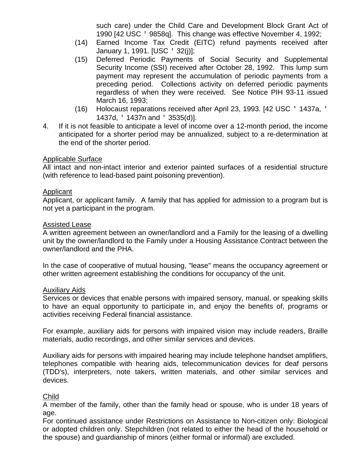such care) under the Child Care and Development Block Grant Act of 1990 [42 USC ' 9858q]. This change was effective November 4, 1992;

- (14) Earned Income Tax Credit (EITC) refund payments received after January 1, 1991. [USC ' 32(j)];
- (15) Deferred Periodic Payments of Social Security and Supplemental Security Income (SSI) received after October 28, 1992. This lump sum payment may represent the accumulation of periodic payments from a preceding period. Collections activity on deferred periodic payments regardless of when they were received. See Notice PIH 93-11 issued March 16, 1993;
- (16) Holocaust reparations received after April 23, 1993. [42 USC ' 1437a, ' 1437d, ' 1437n and ' 3535(d)].
- 4. If it is not feasible to anticipate a level of income over a 12-month period, the income anticipated for a shorter period may be annualized, subject to a re-determination at the end of the shorter period.

## Applicable Surface

All intact and non-intact interior and exterior painted surfaces of a residential structure (with reference to lead-based paint poisoning prevention).

## Applicant

Applicant, or applicant family. A family that has applied for admission to a program but is not yet a participant in the program.

## Assisted Lease

A written agreement between an owner/landlord and a Family for the leasing of a dwelling unit by the owner/landlord to the Family under a Housing Assistance Contract between the owner/landlord and the PHA.

In the case of cooperative of mutual housing, "lease" means the occupancy agreement or other written agreement establishing the conditions for occupancy of the unit.

## Auxiliary Aids

Services or devices that enable persons with impaired sensory, manual, or speaking skills to have an equal opportunity to participate in, and enjoy the benefits of, programs or activities receiving Federal financial assistance.

For example, auxiliary aids for persons with impaired vision may include readers, Braille materials, audio recordings, and other similar services and devices.

Auxiliary aids for persons with impaired hearing may include telephone handset amplifiers, telephones compatible with hearing aids, telecommunication devices for deaf persons (TDD's), interpreters, note takers, written materials, and other similar services and devices.

## Child

A member of the family, other than the family head or spouse, who is under 18 years of age.

For continued assistance under Restrictions on Assistance to Non-citizen only: Biological or adopted children only. Stepchildren (not related to either the head of the household or the spouse) and guardianship of minors (either formal or informal) are excluded.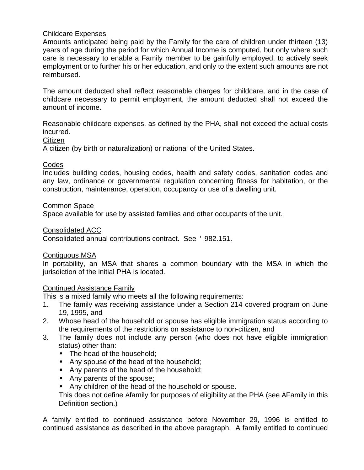## Childcare Expenses

Amounts anticipated being paid by the Family for the care of children under thirteen (13) years of age during the period for which Annual Income is computed, but only where such care is necessary to enable a Family member to be gainfully employed, to actively seek employment or to further his or her education, and only to the extent such amounts are not reimbursed.

The amount deducted shall reflect reasonable charges for childcare, and in the case of childcare necessary to permit employment, the amount deducted shall not exceed the amount of income.

Reasonable childcare expenses, as defined by the PHA, shall not exceed the actual costs incurred.

### **Citizen**

A citizen (by birth or naturalization) or national of the United States.

### Codes

Includes building codes, housing codes, health and safety codes, sanitation codes and any law, ordinance or governmental regulation concerning fitness for habitation, or the construction, maintenance, operation, occupancy or use of a dwelling unit.

### Common Space

Space available for use by assisted families and other occupants of the unit.

### Consolidated ACC

Consolidated annual contributions contract. See ' 982.151.

### Contiguous MSA

In portability, an MSA that shares a common boundary with the MSA in which the jurisdiction of the initial PHA is located.

## Continued Assistance Family

This is a mixed family who meets all the following requirements:

- 1. The family was receiving assistance under a Section 214 covered program on June 19, 1995, and
- 2. Whose head of the household or spouse has eligible immigration status according to the requirements of the restrictions on assistance to non-citizen, and
- 3. The family does not include any person (who does not have eligible immigration status) other than:
	- The head of the household:
	- Any spouse of the head of the household;
	- Any parents of the head of the household;
	- Any parents of the spouse;
	- Any children of the head of the household or spouse.

This does not define Afamily for purposes of eligibility at the PHA (see AFamily in this Definition section.)

A family entitled to continued assistance before November 29, 1996 is entitled to continued assistance as described in the above paragraph. A family entitled to continued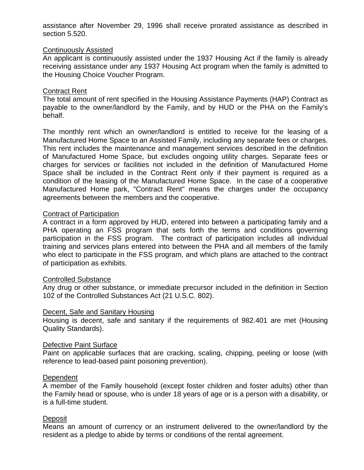assistance after November 29, 1996 shall receive prorated assistance as described in section 5.520.

### Continuously Assisted

An applicant is continuously assisted under the 1937 Housing Act if the family is already receiving assistance under any 1937 Housing Act program when the family is admitted to the Housing Choice Voucher Program.

### Contract Rent

The total amount of rent specified in the Housing Assistance Payments (HAP) Contract as payable to the owner/landlord by the Family, and by HUD or the PHA on the Family's behalf.

The monthly rent which an owner/landlord is entitled to receive for the leasing of a Manufactured Home Space to an Assisted Family, including any separate fees or charges. This rent includes the maintenance and management services described in the definition of Manufactured Home Space, but excludes ongoing utility charges. Separate fees or charges for services or facilities not included in the definition of Manufactured Home Space shall be included in the Contract Rent only if their payment is required as a condition of the leasing of the Manufactured Home Space. In the case of a cooperative Manufactured Home park, "Contract Rent'' means the charges under the occupancy agreements between the members and the cooperative.

### Contract of Participation

A contract in a form approved by HUD, entered into between a participating family and a PHA operating an FSS program that sets forth the terms and conditions governing participation in the FSS program. The contract of participation includes all individual training and services plans entered into between the PHA and all members of the family who elect to participate in the FSS program, and which plans are attached to the contract of participation as exhibits.

### Controlled Substance

Any drug or other substance, or immediate precursor included in the definition in Section 102 of the Controlled Substances Act (21 U.S.C. 802).

### Decent, Safe and Sanitary Housing

Housing is decent, safe and sanitary if the requirements of 982.401 are met (Housing Quality Standards).

### Defective Paint Surface

Paint on applicable surfaces that are cracking, scaling, chipping, peeling or loose (with reference to lead-based paint poisoning prevention).

### Dependent

A member of the Family household (except foster children and foster adults) other than the Family head or spouse, who is under 18 years of age or is a person with a disability, or is a full-time student.

### **Deposit**

Means an amount of currency or an instrument delivered to the owner/landlord by the resident as a pledge to abide by terms or conditions of the rental agreement.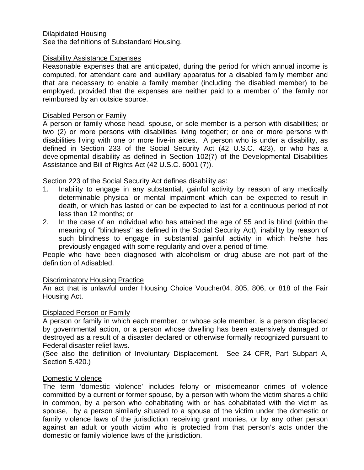## Dilapidated Housing

See the definitions of Substandard Housing.

### Disability Assistance Expenses

Reasonable expenses that are anticipated, during the period for which annual income is computed, for attendant care and auxiliary apparatus for a disabled family member and that are necessary to enable a family member (including the disabled member) to be employed, provided that the expenses are neither paid to a member of the family nor reimbursed by an outside source.

### Disabled Person or Family

A person or family whose head, spouse, or sole member is a person with disabilities; or two (2) or more persons with disabilities living together; or one or more persons with disabilities living with one or more live-in aides. A person who is under a disability, as defined in Section 233 of the Social Security Act (42 U.S.C. 423), or who has a developmental disability as defined in Section 102(7) of the Developmental Disabilities Assistance and Bill of Rights Act (42 U.S.C. 6001 (7)).

Section 223 of the Social Security Act defines disability as:

- 1. Inability to engage in any substantial, gainful activity by reason of any medically determinable physical or mental impairment which can be expected to result in death, or which has lasted or can be expected to last for a continuous period of not less than 12 months; or
- 2. In the case of an individual who has attained the age of 55 and is blind (within the meaning of "blindness" as defined in the Social Security Act), inability by reason of such blindness to engage in substantial gainful activity in which he/she has previously engaged with some regularity and over a period of time.

People who have been diagnosed with alcoholism or drug abuse are not part of the definition of Adisabled.

### Discriminatory Housing Practice

An act that is unlawful under Housing Choice Voucher04, 805, 806, or 818 of the Fair Housing Act.

### Displaced Person or Family

A person or family in which each member, or whose sole member, is a person displaced by governmental action, or a person whose dwelling has been extensively damaged or destroyed as a result of a disaster declared or otherwise formally recognized pursuant to Federal disaster relief laws.

(See also the definition of Involuntary Displacement. See 24 CFR, Part Subpart A, Section 5.420.)

### Domestic Violence

The term 'domestic violence' includes felony or misdemeanor crimes of violence committed by a current or former spouse, by a person with whom the victim shares a child in common, by a person who cohabitating with or has cohabitated with the victim as spouse, by a person similarly situated to a spouse of the victim under the domestic or family violence laws of the jurisdiction receiving grant monies, or by any other person against an adult or youth victim who is protected from that person's acts under the domestic or family violence laws of the jurisdiction.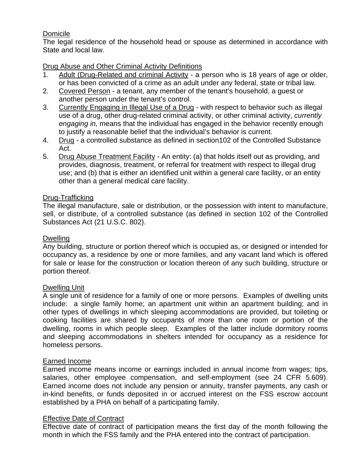## Domicile

The legal residence of the household head or spouse as determined in accordance with State and local law.

## Drug Abuse and Other Criminal Activity Definitions

- 1. Adult (Drug-Related and criminal Activity a person who is 18 years of age or older, or has been convicted of a crime as an adult under any federal, state or tribal law.
- 2. Covered Person a tenant, any member of the tenant's household, a guest or another person under the tenant's control.
- 3. Currently Engaging in Illegal Use of a Drug with respect to behavior such as illegal use of a drug, other drug-related criminal activity, or other criminal activity, *currently engaging in,* means that the individual has engaged in the behavior recently enough to justify a reasonable belief that the individual's behavior is current.
- 4. Drug a controlled substance as defined in section102 of the Controlled Substance Act.
- 5. Drug Abuse Treatment Facility An entity: (a) that holds itself out as providing, and provides, diagnosis, treatment, or referral for treatment with respect to illegal drug use; and (b) that is either an identified unit within a general care facility, or an entity other than a general medical care facility.

## Drug-Trafficking

The illegal manufacture, sale or distribution, or the possession with intent to manufacture, sell, or distribute, of a controlled substance (as defined in section 102 of the Controlled Substances Act (21 U.S.C. 802).

## Dwelling

Any building, structure or portion thereof which is occupied as, or designed or intended for occupancy as, a residence by one or more families, and any vacant land which is offered for sale or lease for the construction or location thereon of any such building, structure or portion thereof.

## Dwelling Unit

A single unit of residence for a family of one or more persons. Examples of dwelling units include: a single family home; an apartment unit within an apartment building; and in other types of dwellings in which sleeping accommodations are provided, but toileting or cooking facilities are shared by occupants of more than one room or portion of the dwelling, rooms in which people sleep. Examples of the latter include dormitory rooms and sleeping accommodations in shelters intended for occupancy as a residence for homeless persons.

## Earned Income

Earned income means income or earnings included in annual income from wages; tips, salaries, other employee compensation, and self-employment (see 24 CFR 5.609). Earned income does not include any pension or annuity, transfer payments, any cash or in-kind benefits, or funds deposited in or accrued interest on the FSS escrow account established by a PHA on behalf of a participating family.

## Effective Date of Contract

Effective date of contract of participation means the first day of the month following the month in which the FSS family and the PHA entered into the contract of participation.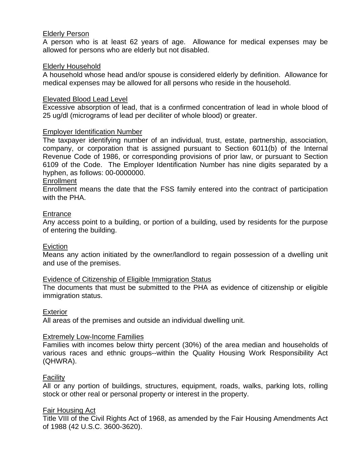### Elderly Person

A person who is at least 62 years of age. Allowance for medical expenses may be allowed for persons who are elderly but not disabled.

### Elderly Household

A household whose head and/or spouse is considered elderly by definition. Allowance for medical expenses may be allowed for all persons who reside in the household.

### Elevated Blood Lead Level

Excessive absorption of lead, that is a confirmed concentration of lead in whole blood of 25 ug/dl (micrograms of lead per deciliter of whole blood) or greater.

### Employer Identification Number

The taxpayer identifying number of an individual, trust, estate, partnership, association, company, or corporation that is assigned pursuant to Section 6011(b) of the Internal Revenue Code of 1986, or corresponding provisions of prior law, or pursuant to Section 6109 of the Code. The Employer Identification Number has nine digits separated by a hyphen, as follows: 00-0000000.

### **Enrollment**

Enrollment means the date that the FSS family entered into the contract of participation with the PHA.

### **Entrance**

Any access point to a building, or portion of a building, used by residents for the purpose of entering the building.

### Eviction

Means any action initiated by the owner/landlord to regain possession of a dwelling unit and use of the premises.

### Evidence of Citizenship of Eligible Immigration Status

The documents that must be submitted to the PHA as evidence of citizenship or eligible immigration status.

### Exterior

All areas of the premises and outside an individual dwelling unit.

### Extremely Low-Income Families

Families with incomes below thirty percent (30%) of the area median and households of various races and ethnic groups--within the Quality Housing Work Responsibility Act (QHWRA).

### **Facility**

All or any portion of buildings, structures, equipment, roads, walks, parking lots, rolling stock or other real or personal property or interest in the property.

### **Fair Housing Act**

Title VIII of the Civil Rights Act of 1968, as amended by the Fair Housing Amendments Act of 1988 (42 U.S.C. 3600-3620).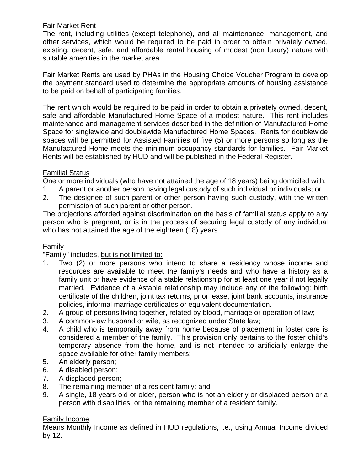## Fair Market Rent

The rent, including utilities (except telephone), and all maintenance, management, and other services, which would be required to be paid in order to obtain privately owned, existing, decent, safe, and affordable rental housing of modest (non luxury) nature with suitable amenities in the market area.

Fair Market Rents are used by PHAs in the Housing Choice Voucher Program to develop the payment standard used to determine the appropriate amounts of housing assistance to be paid on behalf of participating families.

The rent which would be required to be paid in order to obtain a privately owned, decent, safe and affordable Manufactured Home Space of a modest nature. This rent includes maintenance and management services described in the definition of Manufactured Home Space for singlewide and doublewide Manufactured Home Spaces. Rents for doublewide spaces will be permitted for Assisted Families of five (5) or more persons so long as the Manufactured Home meets the minimum occupancy standards for families. Fair Market Rents will be established by HUD and will be published in the Federal Register.

## Familial Status

One or more individuals (who have not attained the age of 18 years) being domiciled with:

- 1. A parent or another person having legal custody of such individual or individuals; or
- 2. The designee of such parent or other person having such custody, with the written permission of such parent or other person.

The projections afforded against discrimination on the basis of familial status apply to any person who is pregnant, or is in the process of securing legal custody of any individual who has not attained the age of the eighteen (18) years.

## **Family**

## "Family" includes, but is not limited to:

- 1. Two (2) or more persons who intend to share a residency whose income and resources are available to meet the family's needs and who have a history as a family unit or have evidence of a stable relationship for at least one year if not legally married. Evidence of a Astable relationship may include any of the following: birth certificate of the children, joint tax returns, prior lease, joint bank accounts, insurance policies, informal marriage certificates or equivalent documentation.
- 2. A group of persons living together, related by blood, marriage or operation of law;
- 3. A common-law husband or wife, as recognized under State law;
- 4. A child who is temporarily away from home because of placement in foster care is considered a member of the family. This provision only pertains to the foster child's temporary absence from the home, and is not intended to artificially enlarge the space available for other family members;
- 5. An elderly person;
- 6. A disabled person;
- 7. A displaced person;
- 8. The remaining member of a resident family; and
- 9. A single, 18 years old or older, person who is not an elderly or displaced person or a person with disabilities, or the remaining member of a resident family.

## Family Income

Means Monthly Income as defined in HUD regulations, i.e., using Annual Income divided by 12.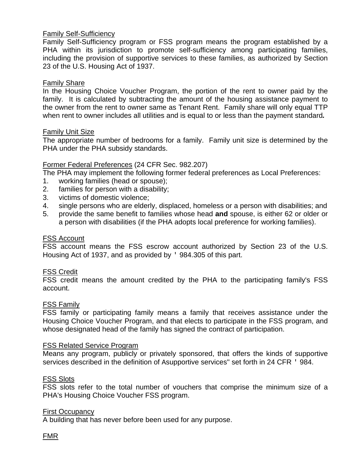### Family Self-Sufficiency

Family Self-Sufficiency program or FSS program means the program established by a PHA within its jurisdiction to promote self-sufficiency among participating families, including the provision of supportive services to these families, as authorized by Section 23 of the U.S. Housing Act of 1937.

### Family Share

In the Housing Choice Voucher Program, the portion of the rent to owner paid by the family. It is calculated by subtracting the amount of the housing assistance payment to the owner from the rent to owner same as Tenant Rent. Family share will only equal TTP when rent to owner includes all utilities and is equal to or less than the payment standard*.* 

### Family Unit Size

The appropriate number of bedrooms for a family. Family unit size is determined by the PHA under the PHA subsidy standards.

### Former Federal Preferences (24 CFR Sec. 982.207)

The PHA may implement the following former federal preferences as Local Preferences:

- 1. working families (head or spouse);
- 2. families for person with a disability;
- 3. victims of domestic violence;
- 4. single persons who are elderly, displaced, homeless or a person with disabilities; and
- 5. provide the same benefit to families whose head **and** spouse, is either 62 or older or a person with disabilities (if the PHA adopts local preference for working families).

### FSS Account

FSS account means the FSS escrow account authorized by Section 23 of the U.S. Housing Act of 1937, and as provided by ' 984.305 of this part.

### FSS Credit

FSS credit means the amount credited by the PHA to the participating family's FSS account.

### FSS Family

FSS family or participating family means a family that receives assistance under the Housing Choice Voucher Program, and that elects to participate in the FSS program, and whose designated head of the family has signed the contract of participation.

### FSS Related Service Program

Means any program, publicly or privately sponsored, that offers the kinds of supportive services described in the definition of Asupportive services'' set forth in 24 CFR ' 984.

### FSS Slots

FSS slots refer to the total number of vouchers that comprise the minimum size of a PHA's Housing Choice Voucher FSS program.

### First Occupancy

A building that has never before been used for any purpose.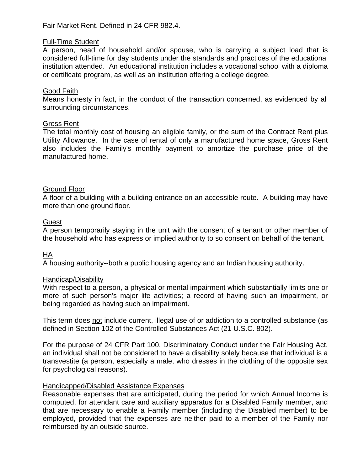Fair Market Rent. Defined in 24 CFR 982.4.

### Full-Time Student

A person, head of household and/or spouse, who is carrying a subject load that is considered full-time for day students under the standards and practices of the educational institution attended. An educational institution includes a vocational school with a diploma or certificate program, as well as an institution offering a college degree.

### Good Faith

Means honesty in fact, in the conduct of the transaction concerned, as evidenced by all surrounding circumstances.

### Gross Rent

The total monthly cost of housing an eligible family, or the sum of the Contract Rent plus Utility Allowance. In the case of rental of only a manufactured home space, Gross Rent also includes the Family's monthly payment to amortize the purchase price of the manufactured home.

### Ground Floor

A floor of a building with a building entrance on an accessible route. A building may have more than one ground floor.

### **Guest**

A person temporarily staying in the unit with the consent of a tenant or other member of the household who has express or implied authority to so consent on behalf of the tenant.

## HA

A housing authority--both a public housing agency and an Indian housing authority.

### Handicap/Disability

With respect to a person, a physical or mental impairment which substantially limits one or more of such person's major life activities; a record of having such an impairment, or being regarded as having such an impairment.

This term does not include current, illegal use of or addiction to a controlled substance (as defined in Section 102 of the Controlled Substances Act (21 U.S.C. 802).

For the purpose of 24 CFR Part 100, Discriminatory Conduct under the Fair Housing Act, an individual shall not be considered to have a disability solely because that individual is a transvestite (a person, especially a male, who dresses in the clothing of the opposite sex for psychological reasons).

### Handicapped/Disabled Assistance Expenses

Reasonable expenses that are anticipated, during the period for which Annual Income is computed, for attendant care and auxiliary apparatus for a Disabled Family member, and that are necessary to enable a Family member (including the Disabled member) to be employed, provided that the expenses are neither paid to a member of the Family nor reimbursed by an outside source.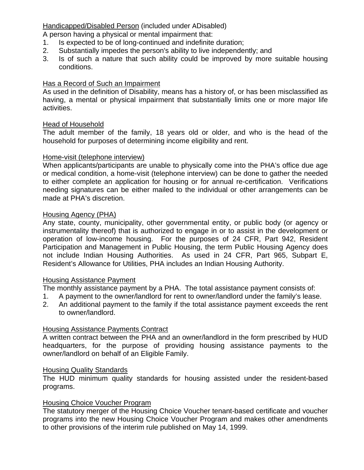## Handicapped/Disabled Person (included under ADisabled)

A person having a physical or mental impairment that:

- 1. Is expected to be of long-continued and indefinite duration;
- 2. Substantially impedes the person's ability to live independently; and
- 3. Is of such a nature that such ability could be improved by more suitable housing conditions.

## Has a Record of Such an Impairment

As used in the definition of Disability, means has a history of, or has been misclassified as having, a mental or physical impairment that substantially limits one or more major life activities.

## Head of Household

The adult member of the family, 18 years old or older, and who is the head of the household for purposes of determining income eligibility and rent.

## Home-visit (telephone interview)

When applicants/participants are unable to physically come into the PHA's office due age or medical condition, a home-visit (telephone interview) can be done to gather the needed to either complete an application for housing or for annual re-certification. Verifications needing signatures can be either mailed to the individual or other arrangements can be made at PHA's discretion.

## Housing Agency (PHA)

Any state, county, municipality, other governmental entity, or public body (or agency or instrumentality thereof) that is authorized to engage in or to assist in the development or operation of low-income housing. For the purposes of 24 CFR, Part 942, Resident Participation and Management in Public Housing, the term Public Housing Agency does not include Indian Housing Authorities. As used in 24 CFR, Part 965, Subpart E, Resident's Allowance for Utilities, PHA includes an Indian Housing Authority.

## Housing Assistance Payment

The monthly assistance payment by a PHA. The total assistance payment consists of:

- 1. A payment to the owner/landlord for rent to owner/landlord under the family's lease.
- 2. An additional payment to the family if the total assistance payment exceeds the rent to owner/landlord.

## Housing Assistance Payments Contract

A written contract between the PHA and an owner/landlord in the form prescribed by HUD headquarters, for the purpose of providing housing assistance payments to the owner/landlord on behalf of an Eligible Family.

## Housing Quality Standards

The HUD minimum quality standards for housing assisted under the resident-based programs.

## Housing Choice Voucher Program

The statutory merger of the Housing Choice Voucher tenant-based certificate and voucher programs into the new Housing Choice Voucher Program and makes other amendments to other provisions of the interim rule published on May 14, 1999.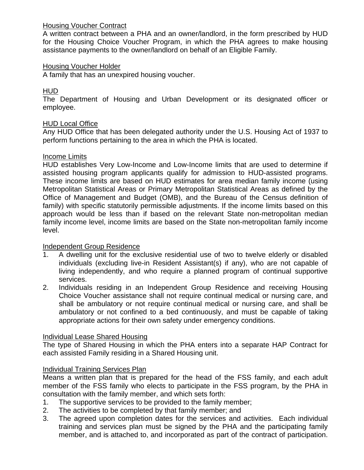## Housing Voucher Contract

A written contract between a PHA and an owner/landlord, in the form prescribed by HUD for the Housing Choice Voucher Program, in which the PHA agrees to make housing assistance payments to the owner/landlord on behalf of an Eligible Family.

## Housing Voucher Holder

A family that has an unexpired housing voucher.

## HUD

The Department of Housing and Urban Development or its designated officer or employee.

## HUD Local Office

Any HUD Office that has been delegated authority under the U.S. Housing Act of 1937 to perform functions pertaining to the area in which the PHA is located.

## Income Limits

HUD establishes Very Low-Income and Low-Income limits that are used to determine if assisted housing program applicants qualify for admission to HUD-assisted programs. These income limits are based on HUD estimates for area median family income (using Metropolitan Statistical Areas or Primary Metropolitan Statistical Areas as defined by the Office of Management and Budget (OMB), and the Bureau of the Census definition of family) with specific statutorily permissible adjustments. If the income limits based on this approach would be less than if based on the relevant State non-metropolitan median family income level, income limits are based on the State non-metropolitan family income level.

## Independent Group Residence

- 1. A dwelling unit for the exclusive residential use of two to twelve elderly or disabled individuals (excluding live-in Resident Assistant(s) if any), who are not capable of living independently, and who require a planned program of continual supportive services.
- 2. Individuals residing in an Independent Group Residence and receiving Housing Choice Voucher assistance shall not require continual medical or nursing care, and shall be ambulatory or not require continual medical or nursing care, and shall be ambulatory or not confined to a bed continuously, and must be capable of taking appropriate actions for their own safety under emergency conditions.

## Individual Lease Shared Housing

The type of Shared Housing in which the PHA enters into a separate HAP Contract for each assisted Family residing in a Shared Housing unit.

## Individual Training Services Plan

Means a written plan that is prepared for the head of the FSS family, and each adult member of the FSS family who elects to participate in the FSS program, by the PHA in consultation with the family member, and which sets forth:

- 1. The supportive services to be provided to the family member;
- 2. The activities to be completed by that family member; and
- 3. The agreed upon completion dates for the services and activities. Each individual training and services plan must be signed by the PHA and the participating family member, and is attached to, and incorporated as part of the contract of participation.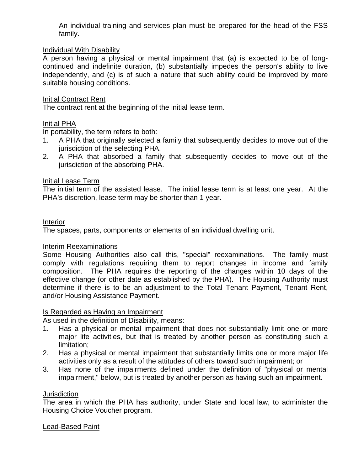An individual training and services plan must be prepared for the head of the FSS family.

## Individual With Disability

A person having a physical or mental impairment that (a) is expected to be of longcontinued and indefinite duration, (b) substantially impedes the person's ability to live independently, and (c) is of such a nature that such ability could be improved by more suitable housing conditions.

### Initial Contract Rent

The contract rent at the beginning of the initial lease term.

### Initial PHA

In portability, the term refers to both:

- 1. A PHA that originally selected a family that subsequently decides to move out of the jurisdiction of the selecting PHA.
- 2. A PHA that absorbed a family that subsequently decides to move out of the jurisdiction of the absorbing PHA.

### Initial Lease Term

The initial term of the assisted lease. The initial lease term is at least one year. At the PHA's discretion, lease term may be shorter than 1 year.

### Interior

The spaces, parts, components or elements of an individual dwelling unit.

### Interim Reexaminations

Some Housing Authorities also call this, "special" reexaminations. The family must comply with regulations requiring them to report changes in income and family composition. The PHA requires the reporting of the changes within 10 days of the effective change (or other date as established by the PHA). The Housing Authority must determine if there is to be an adjustment to the Total Tenant Payment, Tenant Rent, and/or Housing Assistance Payment.

### Is Regarded as Having an Impairment

As used in the definition of Disability, means:

- 1. Has a physical or mental impairment that does not substantially limit one or more major life activities, but that is treated by another person as constituting such a limitation;
- 2. Has a physical or mental impairment that substantially limits one or more major life activities only as a result of the attitudes of others toward such impairment; or
- 3. Has none of the impairments defined under the definition of "physical or mental impairment," below, but is treated by another person as having such an impairment.

### **Jurisdiction**

The area in which the PHA has authority, under State and local law, to administer the Housing Choice Voucher program.

### Lead-Based Paint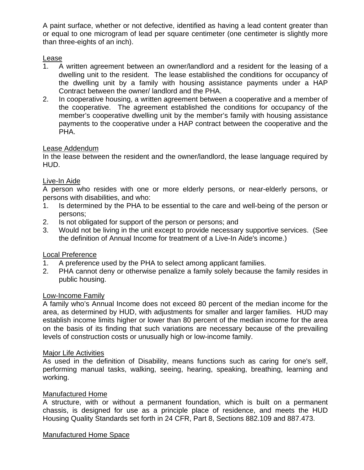A paint surface, whether or not defective, identified as having a lead content greater than or equal to one microgram of lead per square centimeter (one centimeter is slightly more than three-eights of an inch).

## Lease

- 1. A written agreement between an owner/landlord and a resident for the leasing of a dwelling unit to the resident. The lease established the conditions for occupancy of the dwelling unit by a family with housing assistance payments under a HAP Contract between the owner/ landlord and the PHA.
- 2. In cooperative housing, a written agreement between a cooperative and a member of the cooperative. The agreement established the conditions for occupancy of the member's cooperative dwelling unit by the member's family with housing assistance payments to the cooperative under a HAP contract between the cooperative and the PHA.

## Lease Addendum

In the lease between the resident and the owner/landlord, the lease language required by HUD.

## Live-In Aide

A person who resides with one or more elderly persons, or near-elderly persons, or persons with disabilities, and who:

- 1. Is determined by the PHA to be essential to the care and well-being of the person or persons;
- 2. Is not obligated for support of the person or persons; and
- 3. Would not be living in the unit except to provide necessary supportive services. (See the definition of Annual Income for treatment of a Live-In Aide's income.)

### Local Preference

- 1. A preference used by the PHA to select among applicant families.
- 2. PHA cannot deny or otherwise penalize a family solely because the family resides in public housing.

### Low-Income Family

A family who's Annual Income does not exceed 80 percent of the median income for the area, as determined by HUD, with adjustments for smaller and larger families. HUD may establish income limits higher or lower than 80 percent of the median income for the area on the basis of its finding that such variations are necessary because of the prevailing levels of construction costs or unusually high or low-income family.

### Major Life Activities

As used in the definition of Disability, means functions such as caring for one's self, performing manual tasks, walking, seeing, hearing, speaking, breathing, learning and working.

### Manufactured Home

A structure, with or without a permanent foundation, which is built on a permanent chassis, is designed for use as a principle place of residence, and meets the HUD Housing Quality Standards set forth in 24 CFR, Part 8, Sections 882.109 and 887.473.

### Manufactured Home Space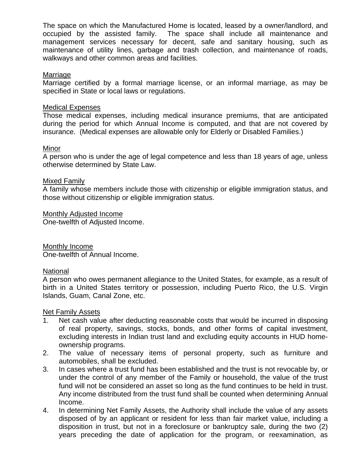The space on which the Manufactured Home is located, leased by a owner/landlord, and occupied by the assisted family. The space shall include all maintenance and management services necessary for decent, safe and sanitary housing, such as maintenance of utility lines, garbage and trash collection, and maintenance of roads, walkways and other common areas and facilities.

### Marriage

Marriage certified by a formal marriage license, or an informal marriage, as may be specified in State or local laws or regulations.

### Medical Expenses

Those medical expenses, including medical insurance premiums, that are anticipated during the period for which Annual Income is computed, and that are not covered by insurance. (Medical expenses are allowable only for Elderly or Disabled Families.)

### Minor

A person who is under the age of legal competence and less than 18 years of age, unless otherwise determined by State Law.

### Mixed Family

A family whose members include those with citizenship or eligible immigration status, and those without citizenship or eligible immigration status.

Monthly Adjusted Income

One-twelfth of Adjusted Income.

Monthly Income One-twelfth of Annual Income.

### National

A person who owes permanent allegiance to the United States, for example, as a result of birth in a United States territory or possession, including Puerto Rico, the U.S. Virgin Islands, Guam, Canal Zone, etc.

### Net Family Assets

- 1. Net cash value after deducting reasonable costs that would be incurred in disposing of real property, savings, stocks, bonds, and other forms of capital investment, excluding interests in Indian trust land and excluding equity accounts in HUD homeownership programs.
- 2. The value of necessary items of personal property, such as furniture and automobiles, shall be excluded.
- 3. In cases where a trust fund has been established and the trust is not revocable by, or under the control of any member of the Family or household, the value of the trust fund will not be considered an asset so long as the fund continues to be held in trust. Any income distributed from the trust fund shall be counted when determining Annual Income.
- 4. In determining Net Family Assets, the Authority shall include the value of any assets disposed of by an applicant or resident for less than fair market value, including a disposition in trust, but not in a foreclosure or bankruptcy sale, during the two (2) years preceding the date of application for the program, or reexamination, as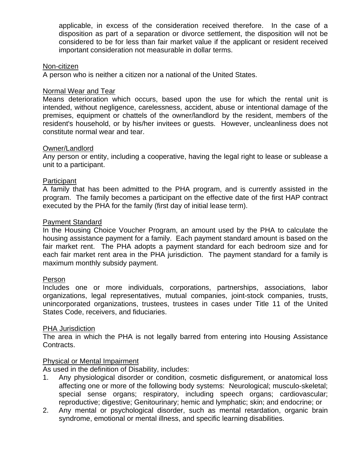applicable, in excess of the consideration received therefore. In the case of a disposition as part of a separation or divorce settlement, the disposition will not be considered to be for less than fair market value if the applicant or resident received important consideration not measurable in dollar terms.

### Non-citizen

A person who is neither a citizen nor a national of the United States.

### Normal Wear and Tear

Means deterioration which occurs, based upon the use for which the rental unit is intended, without negligence, carelessness, accident, abuse or intentional damage of the premises, equipment or chattels of the owner/landlord by the resident, members of the resident's household, or by his/her invitees or guests. However, uncleanliness does not constitute normal wear and tear.

### Owner/Landlord

Any person or entity, including a cooperative, having the legal right to lease or sublease a unit to a participant.

### **Participant**

A family that has been admitted to the PHA program, and is currently assisted in the program. The family becomes a participant on the effective date of the first HAP contract executed by the PHA for the family (first day of initial lease term).

### Payment Standard

In the Housing Choice Voucher Program, an amount used by the PHA to calculate the housing assistance payment for a family. Each payment standard amount is based on the fair market rent. The PHA adopts a payment standard for each bedroom size and for each fair market rent area in the PHA jurisdiction. The payment standard for a family is maximum monthly subsidy payment.

### Person

Includes one or more individuals, corporations, partnerships, associations, labor organizations, legal representatives, mutual companies, joint-stock companies, trusts, unincorporated organizations, trustees, trustees in cases under Title 11 of the United States Code, receivers, and fiduciaries.

### PHA Jurisdiction

The area in which the PHA is not legally barred from entering into Housing Assistance Contracts.

## Physical or Mental Impairment

As used in the definition of Disability, includes:

- 1. Any physiological disorder or condition, cosmetic disfigurement, or anatomical loss affecting one or more of the following body systems: Neurological; musculo-skeletal; special sense organs; respiratory, including speech organs; cardiovascular; reproductive; digestive; Genitourinary; hemic and lymphatic; skin; and endocrine; or
- 2. Any mental or psychological disorder, such as mental retardation, organic brain syndrome, emotional or mental illness, and specific learning disabilities.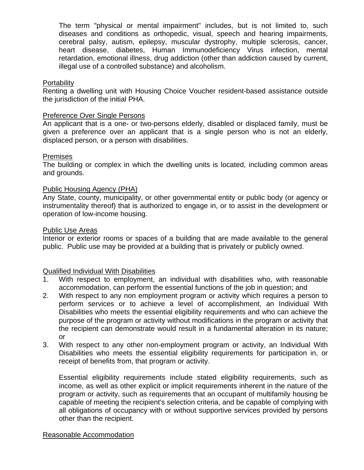The term "physical or mental impairment" includes, but is not limited to, such diseases and conditions as orthopedic, visual, speech and hearing impairments, cerebral palsy, autism, epilepsy, muscular dystrophy, multiple sclerosis, cancer, heart disease, diabetes, Human Immunodeficiency Virus infection, mental retardation, emotional illness, drug addiction (other than addiction caused by current, illegal use of a controlled substance) and alcoholism.

### **Portability**

Renting a dwelling unit with Housing Choice Voucher resident-based assistance outside the jurisdiction of the initial PHA.

### Preference Over Single Persons

An applicant that is a one- or two-persons elderly, disabled or displaced family, must be given a preference over an applicant that is a single person who is not an elderly, displaced person, or a person with disabilities.

### **Premises**

The building or complex in which the dwelling units is located, including common areas and grounds.

### Public Housing Agency (PHA)

Any State, county, municipality, or other governmental entity or public body (or agency or instrumentality thereof) that is authorized to engage in, or to assist in the development or operation of low-income housing.

### Public Use Areas

Interior or exterior rooms or spaces of a building that are made available to the general public. Public use may be provided at a building that is privately or publicly owned.

## Qualified Individual With Disabilities

- 1. With respect to employment, an individual with disabilities who, with reasonable accommodation, can perform the essential functions of the job in question; and
- 2. With respect to any non employment program or activity which requires a person to perform services or to achieve a level of accomplishment, an Individual With Disabilities who meets the essential eligibility requirements and who can achieve the purpose of the program or activity without modifications in the program or activity that the recipient can demonstrate would result in a fundamental alteration in its nature; or
- 3. With respect to any other non-employment program or activity, an Individual With Disabilities who meets the essential eligibility requirements for participation in, or receipt of benefits from, that program or activity.

Essential eligibility requirements include stated eligibility requirements, such as income, as well as other explicit or implicit requirements inherent in the nature of the program or activity, such as requirements that an occupant of multifamily housing be capable of meeting the recipient's selection criteria, and be capable of complying with all obligations of occupancy with or without supportive services provided by persons other than the recipient.

## Reasonable Accommodation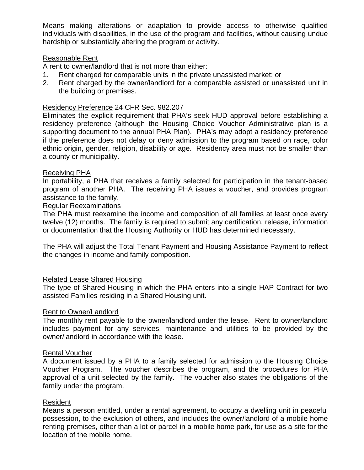Means making alterations or adaptation to provide access to otherwise qualified individuals with disabilities, in the use of the program and facilities, without causing undue hardship or substantially altering the program or activity.

## Reasonable Rent

A rent to owner/landlord that is not more than either:

- 1. Rent charged for comparable units in the private unassisted market; or
- 2. Rent charged by the owner/landlord for a comparable assisted or unassisted unit in the building or premises.

### Residency Preference 24 CFR Sec. 982.207

Eliminates the explicit requirement that PHA's seek HUD approval before establishing a residency preference (although the Housing Choice Voucher Administrative plan is a supporting document to the annual PHA Plan). PHA's may adopt a residency preference if the preference does not delay or deny admission to the program based on race, color ethnic origin, gender, religion, disability or age. Residency area must not be smaller than a county or municipality.

### Receiving PHA

In portability, a PHA that receives a family selected for participation in the tenant-based program of another PHA. The receiving PHA issues a voucher, and provides program assistance to the family.

### Regular Reexaminations

The PHA must reexamine the income and composition of all families at least once every twelve (12) months. The family is required to submit any certification, release, information or documentation that the Housing Authority or HUD has determined necessary.

The PHA will adjust the Total Tenant Payment and Housing Assistance Payment to reflect the changes in income and family composition.

### Related Lease Shared Housing

The type of Shared Housing in which the PHA enters into a single HAP Contract for two assisted Families residing in a Shared Housing unit.

### Rent to Owner/Landlord

The monthly rent payable to the owner/landlord under the lease. Rent to owner/landlord includes payment for any services, maintenance and utilities to be provided by the owner/landlord in accordance with the lease.

### Rental Voucher

A document issued by a PHA to a family selected for admission to the Housing Choice Voucher Program. The voucher describes the program, and the procedures for PHA approval of a unit selected by the family. The voucher also states the obligations of the family under the program.

### Resident

Means a person entitled, under a rental agreement, to occupy a dwelling unit in peaceful possession, to the exclusion of others, and includes the owner/landlord of a mobile home renting premises, other than a lot or parcel in a mobile home park, for use as a site for the location of the mobile home.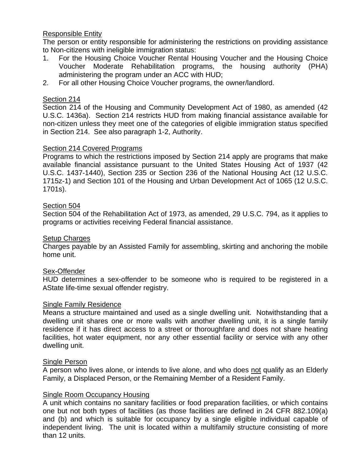## Responsible Entity

The person or entity responsible for administering the restrictions on providing assistance to Non-citizens with ineligible immigration status:

- 1. For the Housing Choice Voucher Rental Housing Voucher and the Housing Choice Voucher Moderate Rehabilitation programs, the housing authority (PHA) administering the program under an ACC with HUD;
- 2. For all other Housing Choice Voucher programs, the owner/landlord.

## Section 214

Section 214 of the Housing and Community Development Act of 1980, as amended (42 U.S.C. 1436a). Section 214 restricts HUD from making financial assistance available for non-citizen unless they meet one of the categories of eligible immigration status specified in Section 214. See also paragraph 1-2, Authority.

## Section 214 Covered Programs

Programs to which the restrictions imposed by Section 214 apply are programs that make available financial assistance pursuant to the United States Housing Act of 1937 (42 U.S.C. 1437-1440), Section 235 or Section 236 of the National Housing Act (12 U.S.C. 1715z-1) and Section 101 of the Housing and Urban Development Act of 1065 (12 U.S.C. 1701s).

## Section 504

Section 504 of the Rehabilitation Act of 1973, as amended, 29 U.S.C. 794, as it applies to programs or activities receiving Federal financial assistance.

### Setup Charges

Charges payable by an Assisted Family for assembling, skirting and anchoring the mobile home unit.

## Sex-Offender

HUD determines a sex-offender to be someone who is required to be registered in a AState life-time sexual offender registry.

### Single Family Residence

Means a structure maintained and used as a single dwelling unit. Notwithstanding that a dwelling unit shares one or more walls with another dwelling unit, it is a single family residence if it has direct access to a street or thoroughfare and does not share heating facilities, hot water equipment, nor any other essential facility or service with any other dwelling unit.

### Single Person

A person who lives alone, or intends to live alone, and who does not qualify as an Elderly Family, a Displaced Person, or the Remaining Member of a Resident Family.

## Single Room Occupancy Housing

A unit which contains no sanitary facilities or food preparation facilities, or which contains one but not both types of facilities (as those facilities are defined in 24 CFR 882.109(a) and (b) and which is suitable for occupancy by a single eligible individual capable of independent living. The unit is located within a multifamily structure consisting of more than 12 units.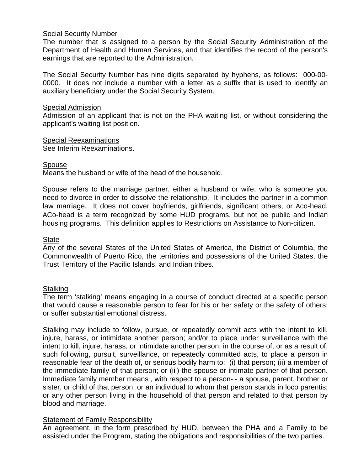## Social Security Number

The number that is assigned to a person by the Social Security Administration of the Department of Health and Human Services, and that identifies the record of the person's earnings that are reported to the Administration.

The Social Security Number has nine digits separated by hyphens, as follows: 000-00- 0000. It does not include a number with a letter as a suffix that is used to identify an auxiliary beneficiary under the Social Security System.

### Special Admission

Admission of an applicant that is not on the PHA waiting list, or without considering the applicant's waiting list position.

Special Reexaminations

See Interim Reexaminations.

### Spouse

Means the husband or wife of the head of the household.

Spouse refers to the marriage partner, either a husband or wife, who is someone you need to divorce in order to dissolve the relationship. It includes the partner in a common law marriage. It does not cover boyfriends, girlfriends, significant others, or Aco-head. ACo-head is a term recognized by some HUD programs, but not be public and Indian housing programs. This definition applies to Restrictions on Assistance to Non-citizen.

### **State**

Any of the several States of the United States of America, the District of Columbia, the Commonwealth of Puerto Rico, the territories and possessions of the United States, the Trust Territory of the Pacific Islands, and Indian tribes.

## **Stalking**

The term 'stalking' means engaging in a course of conduct directed at a specific person that would cause a reasonable person to fear for his or her safety or the safety of others; or suffer substantial emotional distress.

Stalking may include to follow, pursue, or repeatedly commit acts with the intent to kill, injure, harass, or intimidate another person; and/or to place under surveillance with the intent to kill, injure, harass, or intimidate another person; in the course of, or as a result of, such following, pursuit, surveillance, or repeatedly committed acts, to place a person in reasonable fear of the death of, or serious bodily harm to: (i) that person; (ii) a member of the immediate family of that person; or (iii) the spouse or intimate partner of that person. Immediate family member means , with respect to a person- - a spouse, parent, brother or sister, or child of that person, or an individual to whom that person stands in loco parentis; or any other person living in the household of that person and related to that person by blood and marriage.

## **Statement of Family Responsibility**

An agreement, in the form prescribed by HUD, between the PHA and a Family to be assisted under the Program, stating the obligations and responsibilities of the two parties.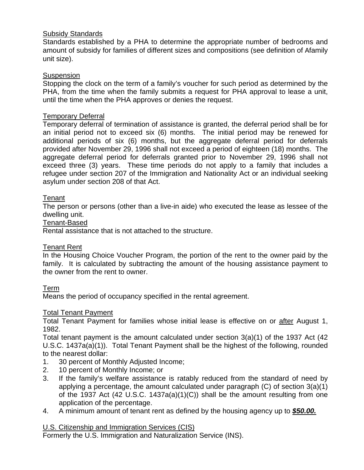## Subsidy Standards

Standards established by a PHA to determine the appropriate number of bedrooms and amount of subsidy for families of different sizes and compositions (see definition of Afamily unit size).

## **Suspension**

Stopping the clock on the term of a family's voucher for such period as determined by the PHA, from the time when the family submits a request for PHA approval to lease a unit, until the time when the PHA approves or denies the request.

## Temporary Deferral

Temporary deferral of termination of assistance is granted, the deferral period shall be for an initial period not to exceed six (6) months. The initial period may be renewed for additional periods of six (6) months, but the aggregate deferral period for deferrals provided after November 29, 1996 shall not exceed a period of eighteen (18) months. The aggregate deferral period for deferrals granted prior to November 29, 1996 shall not exceed three (3) years. These time periods do not apply to a family that includes a refugee under section 207 of the Immigration and Nationality Act or an individual seeking asylum under section 208 of that Act.

## **Tenant**

The person or persons (other than a live-in aide) who executed the lease as lessee of the dwelling unit.

### Tenant-Based

Rental assistance that is not attached to the structure.

## Tenant Rent

In the Housing Choice Voucher Program, the portion of the rent to the owner paid by the family. It is calculated by subtracting the amount of the housing assistance payment to the owner from the rent to owner.

## Term

Means the period of occupancy specified in the rental agreement.

## Total Tenant Payment

Total Tenant Payment for families whose initial lease is effective on or after August 1, 1982.

Total tenant payment is the amount calculated under section 3(a)(1) of the 1937 Act (42 U.S.C. 1437a(a)(1)). Total Tenant Payment shall be the highest of the following, rounded to the nearest dollar:

- 1. 30 percent of Monthly Adjusted Income;
- 2. 10 percent of Monthly Income; or
- 3. If the family's welfare assistance is ratably reduced from the standard of need by applying a percentage, the amount calculated under paragraph (C) of section 3(a)(1) of the 1937 Act (42 U.S.C. 1437a(a)(1)(C)) shall be the amount resulting from one application of the percentage.
- 4. A minimum amount of tenant rent as defined by the housing agency up to *\$50.00.*

## U.S. Citizenship and Immigration Services (CIS)

Formerly the U.S. Immigration and Naturalization Service (INS).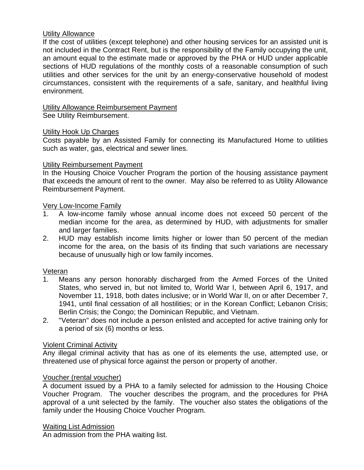### Utility Allowance

If the cost of utilities (except telephone) and other housing services for an assisted unit is not included in the Contract Rent, but is the responsibility of the Family occupying the unit, an amount equal to the estimate made or approved by the PHA or HUD under applicable sections of HUD regulations of the monthly costs of a reasonable consumption of such utilities and other services for the unit by an energy-conservative household of modest circumstances, consistent with the requirements of a safe, sanitary, and healthful living environment.

# Utility Allowance Reimbursement Payment

See Utility Reimbursement.

### Utility Hook Up Charges

Costs payable by an Assisted Family for connecting its Manufactured Home to utilities such as water, gas, electrical and sewer lines.

### Utility Reimbursement Payment

In the Housing Choice Voucher Program the portion of the housing assistance payment that exceeds the amount of rent to the owner. May also be referred to as Utility Allowance Reimbursement Payment.

### Very Low-Income Family

- 1. A low-income family whose annual income does not exceed 50 percent of the median income for the area, as determined by HUD, with adjustments for smaller and larger families.
- 2. HUD may establish income limits higher or lower than 50 percent of the median income for the area, on the basis of its finding that such variations are necessary because of unusually high or low family incomes.

## Veteran

- 1. Means any person honorably discharged from the Armed Forces of the United States, who served in, but not limited to, World War I, between April 6, 1917, and November 11, 1918, both dates inclusive; or in World War II, on or after December 7, 1941, until final cessation of all hostilities; or in the Korean Conflict; Lebanon Crisis; Berlin Crisis; the Congo; the Dominican Republic, and Vietnam.
- 2. "Veteran" does not include a person enlisted and accepted for active training only for a period of six (6) months or less.

## Violent Criminal Activity

Any illegal criminal activity that has as one of its elements the use, attempted use, or threatened use of physical force against the person or property of another.

### Voucher (rental voucher)

A document issued by a PHA to a family selected for admission to the Housing Choice Voucher Program. The voucher describes the program, and the procedures for PHA approval of a unit selected by the family. The voucher also states the obligations of the family under the Housing Choice Voucher Program.

### Waiting List Admission

An admission from the PHA waiting list.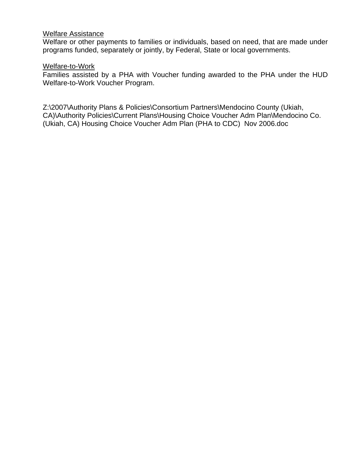### Welfare Assistance

Welfare or other payments to families or individuals, based on need, that are made under programs funded, separately or jointly, by Federal, State or local governments.

### Welfare-to-Work

Families assisted by a PHA with Voucher funding awarded to the PHA under the HUD Welfare-to-Work Voucher Program.

Z:\2007\Authority Plans & Policies\Consortium Partners\Mendocino County (Ukiah, CA)\Authority Policies\Current Plans\Housing Choice Voucher Adm Plan\Mendocino Co. (Ukiah, CA) Housing Choice Voucher Adm Plan (PHA to CDC) Nov 2006.doc